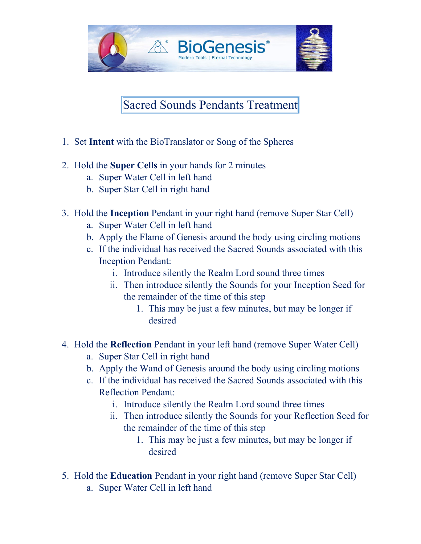

Sacred Sounds Pendants Treatment

- 1. Set **Intent** with the BioTranslator or Song of the Spheres
- 2. Hold the **Super Cells** in your hands for 2 minutes
	- a. Super Water Cell in left hand
	- b. Super Star Cell in right hand
- 3. Hold the **Inception** Pendant in your right hand (remove Super Star Cell)
	- a. Super Water Cell in left hand
	- b. Apply the Flame of Genesis around the body using circling motions
	- c. If the individual has received the Sacred Sounds associated with this Inception Pendant:
		- i. Introduce silently the Realm Lord sound three times
		- ii. Then introduce silently the Sounds for your Inception Seed for the remainder of the time of this step
			- 1. This may be just a few minutes, but may be longer if desired
- 4. Hold the **Reflection** Pendant in your left hand (remove Super Water Cell)
	- a. Super Star Cell in right hand
	- b. Apply the Wand of Genesis around the body using circling motions
	- c. If the individual has received the Sacred Sounds associated with this Reflection Pendant:
		- i. Introduce silently the Realm Lord sound three times
		- ii. Then introduce silently the Sounds for your Reflection Seed for the remainder of the time of this step
			- 1. This may be just a few minutes, but may be longer if desired
- 5. Hold the **Education** Pendant in your right hand (remove Super Star Cell)
	- a. Super Water Cell in left hand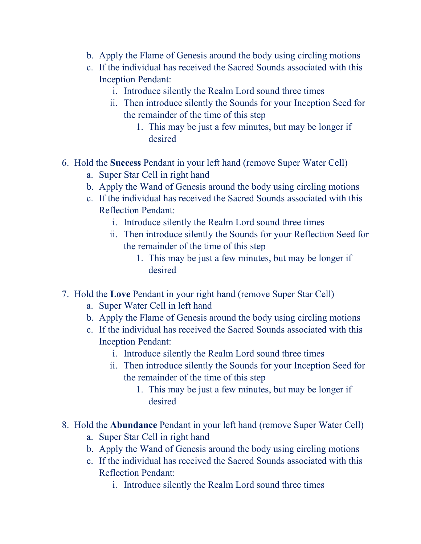- b. Apply the Flame of Genesis around the body using circling motions
- c. If the individual has received the Sacred Sounds associated with this Inception Pendant:
	- i. Introduce silently the Realm Lord sound three times
	- ii. Then introduce silently the Sounds for your Inception Seed for the remainder of the time of this step
		- 1. This may be just a few minutes, but may be longer if desired
- 6. Hold the **Success** Pendant in your left hand (remove Super Water Cell)
	- a. Super Star Cell in right hand
	- b. Apply the Wand of Genesis around the body using circling motions
	- c. If the individual has received the Sacred Sounds associated with this Reflection Pendant:
		- i. Introduce silently the Realm Lord sound three times
		- ii. Then introduce silently the Sounds for your Reflection Seed for the remainder of the time of this step
			- 1. This may be just a few minutes, but may be longer if desired
- 7. Hold the **Love** Pendant in your right hand (remove Super Star Cell)
	- a. Super Water Cell in left hand
	- b. Apply the Flame of Genesis around the body using circling motions
	- c. If the individual has received the Sacred Sounds associated with this Inception Pendant:
		- i. Introduce silently the Realm Lord sound three times
		- ii. Then introduce silently the Sounds for your Inception Seed for the remainder of the time of this step
			- 1. This may be just a few minutes, but may be longer if desired
- 8. Hold the **Abundance** Pendant in your left hand (remove Super Water Cell)
	- a. Super Star Cell in right hand
	- b. Apply the Wand of Genesis around the body using circling motions
	- c. If the individual has received the Sacred Sounds associated with this Reflection Pendant:
		- i. Introduce silently the Realm Lord sound three times